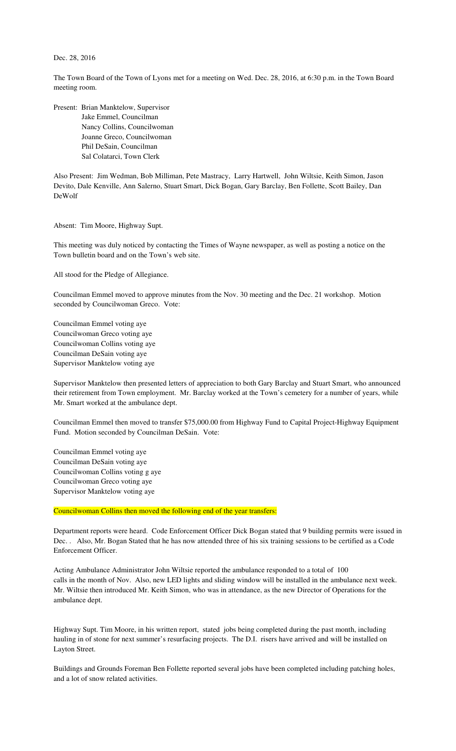## Dec. 28, 2016

The Town Board of the Town of Lyons met for a meeting on Wed. Dec. 28, 2016, at 6:30 p.m. in the Town Board meeting room.

Present: Brian Manktelow, Supervisor Jake Emmel, Councilman Nancy Collins, Councilwoman Joanne Greco, Councilwoman Phil DeSain, Councilman Sal Colatarci, Town Clerk

Also Present: Jim Wedman, Bob Milliman, Pete Mastracy, Larry Hartwell, John Wiltsie, Keith Simon, Jason Devito, Dale Kenville, Ann Salerno, Stuart Smart, Dick Bogan, Gary Barclay, Ben Follette, Scott Bailey, Dan DeWolf

Absent: Tim Moore, Highway Supt.

This meeting was duly noticed by contacting the Times of Wayne newspaper, as well as posting a notice on the Town bulletin board and on the Town's web site.

All stood for the Pledge of Allegiance.

Councilman Emmel moved to approve minutes from the Nov. 30 meeting and the Dec. 21 workshop. Motion seconded by Councilwoman Greco. Vote:

Councilman Emmel voting aye Councilwoman Greco voting aye Councilwoman Collins voting aye Councilman DeSain voting aye Supervisor Manktelow voting aye

Supervisor Manktelow then presented letters of appreciation to both Gary Barclay and Stuart Smart, who announced their retirement from Town employment. Mr. Barclay worked at the Town's cemetery for a number of years, while Mr. Smart worked at the ambulance dept.

Councilman Emmel then moved to transfer \$75,000.00 from Highway Fund to Capital Project-Highway Equipment Fund. Motion seconded by Councilman DeSain. Vote:

Councilman Emmel voting aye Councilman DeSain voting aye Councilwoman Collins voting g aye Councilwoman Greco voting aye Supervisor Manktelow voting aye

Councilwoman Collins then moved the following end of the year transfers:

Department reports were heard. Code Enforcement Officer Dick Bogan stated that 9 building permits were issued in Dec. . Also, Mr. Bogan Stated that he has now attended three of his six training sessions to be certified as a Code Enforcement Officer.

Acting Ambulance Administrator John Wiltsie reported the ambulance responded to a total of 100 calls in the month of Nov. Also, new LED lights and sliding window will be installed in the ambulance next week. Mr. Wiltsie then introduced Mr. Keith Simon, who was in attendance, as the new Director of Operations for the ambulance dept.

Highway Supt. Tim Moore, in his written report, stated jobs being completed during the past month, including hauling in of stone for next summer's resurfacing projects. The D.I. risers have arrived and will be installed on Layton Street.

Buildings and Grounds Foreman Ben Follette reported several jobs have been completed including patching holes, and a lot of snow related activities.